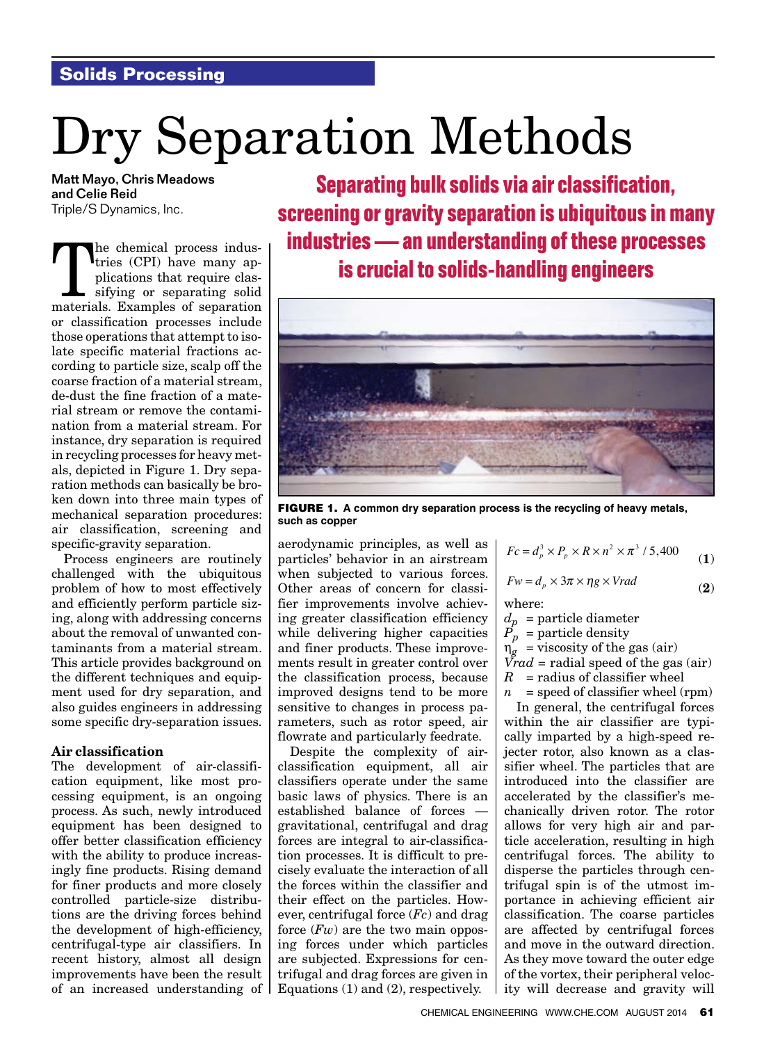# **Solids Processing**

# Dry Separation Methods

Matt Mayo, Chris Meadows and Celie Reid Triple/S Dynamics, Inc.

The chemical process indus-<br>tries (CPI) have many ap-<br>plications that require clas-<br>sifying or separating solid<br>materials Examples of separation tries (CPI) have many applications that require classifying or separating solid materials. Examples of separation or classification processes include those operations that attempt to isolate specific material fractions according to particle size, scalp off the coarse fraction of a material stream, de-dust the fine fraction of a material stream or remove the contamination from a material stream. For instance, dry separation is required in recycling processes for heavy metals, depicted in Figure 1. Dry separation methods can basically be broken down into three main types of mechanical separation procedures: air classification, screening and specific-gravity separation.

Process engineers are routinely challenged with the ubiquitous problem of how to most effectively and efficiently perform particle sizing, along with addressing concerns about the removal of unwanted contaminants from a material stream. This article provides background on the different techniques and equipment used for dry separation, and also guides engineers in addressing some specific dry-separation issues.

## Air classification

The development of air-classification equipment, like most processing equipment, is an ongoing process. As such, newly introduced equipment has been designed to offer better classification efficiency with the ability to produce increasingly fine products. Rising demand for finer products and more closely controlled particle-size distributions are the driving forces behind the development of high-efficiency, centrifugal-type air classifiers. In recent history, almost all design improvements have been the result of an increased understanding of

**Separating bulk solids via air classification, screening or gravity separation is ubiquitous in many industries — an understanding of these processes is crucial to solids-handling engineers**



FIGURE 1. **A common dry separation process is the recycling of heavy metals, such as copper**

aerodynamic principles, as well as particles' behavior in an airstream when subjected to various forces. Other areas of concern for classifier improvements involve achieving greater classification efficiency while delivering higher capacities and finer products. These improvements result in greater control over the classification process, because improved designs tend to be more sensitive to changes in process parameters, such as rotor speed, air flowrate and particularly feedrate.

Despite the complexity of airclassification equipment, all air classifiers operate under the same basic laws of physics. There is an established balance of forces gravitational, centrifugal and drag forces are integral to air-classification processes. It is difficult to precisely evaluate the interaction of all the forces within the classifier and their effect on the particles. However, centrifugal force (*Fc*) and drag force (*Fw*) are the two main opposing forces under which particles are subjected. Expressions for centrifugal and drag forces are given in Equations (1) and (2), respectively.

$$
Fc = d_p^3 \times P_p \times R \times n^2 \times \pi^3 / 5,400
$$
 (1)

$$
Fw = d_p \times 3\pi \times \eta g \times Vrad
$$
 (2)

where:

$$
d_p\text{ = particle diameter}
$$

 $P_p$  = particle density

$$
\eta_g = \text{viscosity of the gas (air)}
$$

*Vrad* = radial speed of the gas (air)

 $R$  = radius of classifier wheel

 $n =$  speed of classifier wheel (rpm)

In general, the centrifugal forces within the air classifier are typically imparted by a high-speed rejecter rotor, also known as a classifier wheel. The particles that are introduced into the classifier are accelerated by the classifier's mechanically driven rotor. The rotor allows for very high air and particle acceleration, resulting in high centrifugal forces. The ability to disperse the particles through centrifugal spin is of the utmost importance in achieving efficient air classification. The coarse particles are affected by centrifugal forces and move in the outward direction. As they move toward the outer edge of the vortex, their peripheral velocity will decrease and gravity will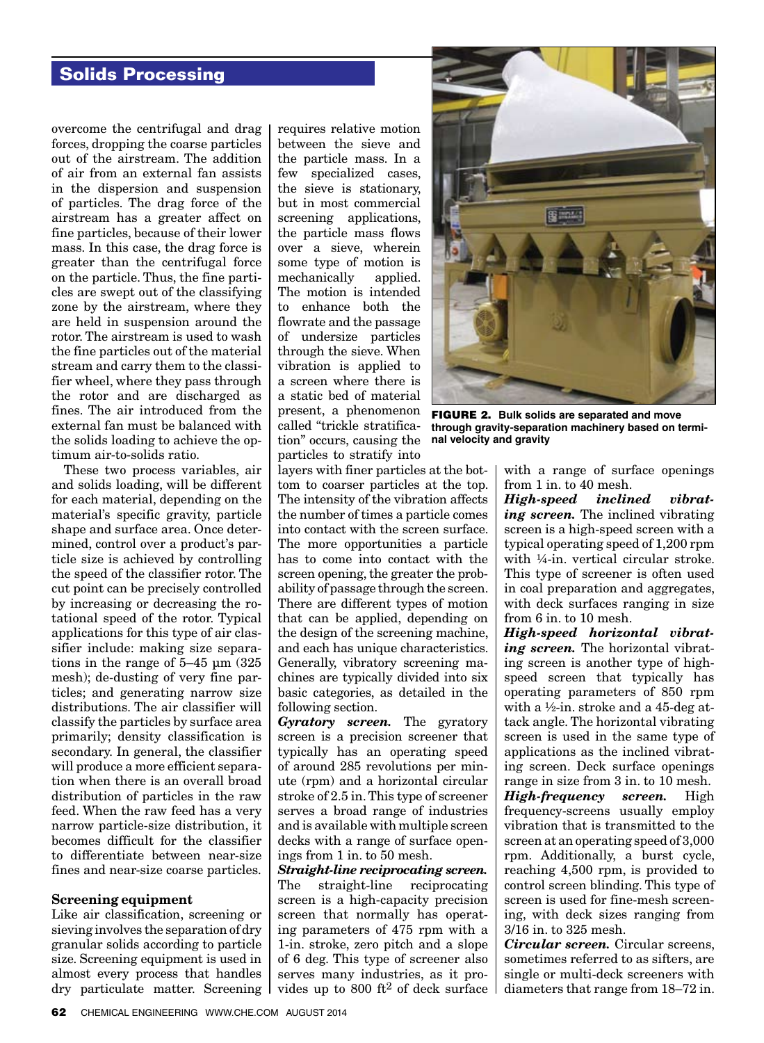## **Solids Processing**

overcome the centrifugal and drag forces, dropping the coarse particles out of the airstream. The addition of air from an external fan assists in the dispersion and suspension of particles. The drag force of the airstream has a greater affect on fine particles, because of their lower mass. In this case, the drag force is greater than the centrifugal force on the particle. Thus, the fine particles are swept out of the classifying zone by the airstream, where they are held in suspension around the rotor. The airstream is used to wash the fine particles out of the material stream and carry them to the classifier wheel, where they pass through the rotor and are discharged as fines. The air introduced from the external fan must be balanced with the solids loading to achieve the optimum air-to-solids ratio.

These two process variables, air and solids loading, will be different for each material, depending on the material's specific gravity, particle shape and surface area. Once determined, control over a product's particle size is achieved by controlling the speed of the classifier rotor. The cut point can be precisely controlled by increasing or decreasing the rotational speed of the rotor. Typical applications for this type of air classifier include: making size separations in the range of 5–45 μm (325 mesh); de-dusting of very fine particles; and generating narrow size distributions. The air classifier will classify the particles by surface area primarily; density classification is secondary. In general, the classifier will produce a more efficient separation when there is an overall broad distribution of particles in the raw feed. When the raw feed has a very narrow particle-size distribution, it becomes difficult for the classifier to differentiate between near-size fines and near-size coarse particles.

### Screening equipment

Like air classification, screening or sieving involves the separation of dry granular solids according to particle size. Screening equipment is used in almost every process that handles dry particulate matter. Screening requires relative motion between the sieve and the particle mass. In a few specialized cases, the sieve is stationary, but in most commercial screening applications, the particle mass flows over a sieve, wherein some type of motion is mechanically applied. The motion is intended to enhance both the flowrate and the passage of undersize particles through the sieve. When vibration is applied to a screen where there is a static bed of material present, a phenomenon called "trickle stratification" occurs, causing the particles to stratify into

layers with finer particles at the bottom to coarser particles at the top. The intensity of the vibration affects the number of times a particle comes into contact with the screen surface. The more opportunities a particle has to come into contact with the screen opening, the greater the probability of passage through the screen. There are different types of motion that can be applied, depending on the design of the screening machine, and each has unique characteristics. Generally, vibratory screening machines are typically divided into six basic categories, as detailed in the following section.

*Gyratory screen.* The gyratory screen is a precision screener that typically has an operating speed of around 285 revolutions per minute (rpm) and a horizontal circular stroke of 2.5 in. This type of screener serves a broad range of industries and is available with multiple screen decks with a range of surface openings from 1 in. to 50 mesh.

*Straight-line reciprocating screen.* The straight-line reciprocating screen is a high-capacity precision screen that normally has operating parameters of 475 rpm with a 1-in. stroke, zero pitch and a slope of 6 deg. This type of screener also serves many industries, as it provides up to 800 ft2 of deck surface



FIGURE 2. **Bulk solids are separated and move through gravity-separation machinery based on terminal velocity and gravity**

with a range of surface openings from 1 in. to 40 mesh.

*High-speed inclined vibrating screen.* The inclined vibrating screen is a high-speed screen with a typical operating speed of 1,200 rpm with ¼-in. vertical circular stroke. This type of screener is often used in coal preparation and aggregates, with deck surfaces ranging in size from 6 in. to 10 mesh.

*High-speed horizontal vibrating screen.* The horizontal vibrating screen is another type of highspeed screen that typically has operating parameters of 850 rpm with a ½-in. stroke and a 45-deg attack angle. The horizontal vibrating screen is used in the same type of applications as the inclined vibrating screen. Deck surface openings range in size from 3 in. to 10 mesh. *High-frequency screen.* High frequency-screens usually employ vibration that is transmitted to the screen at an operating speed of 3,000 rpm. Additionally, a burst cycle, reaching 4,500 rpm, is provided to control screen blinding. This type of screen is used for fine-mesh screening, with deck sizes ranging from 3/16 in. to 325 mesh.

*Circular screen.* Circular screens, sometimes referred to as sifters, are single or multi-deck screeners with diameters that range from 18–72 in.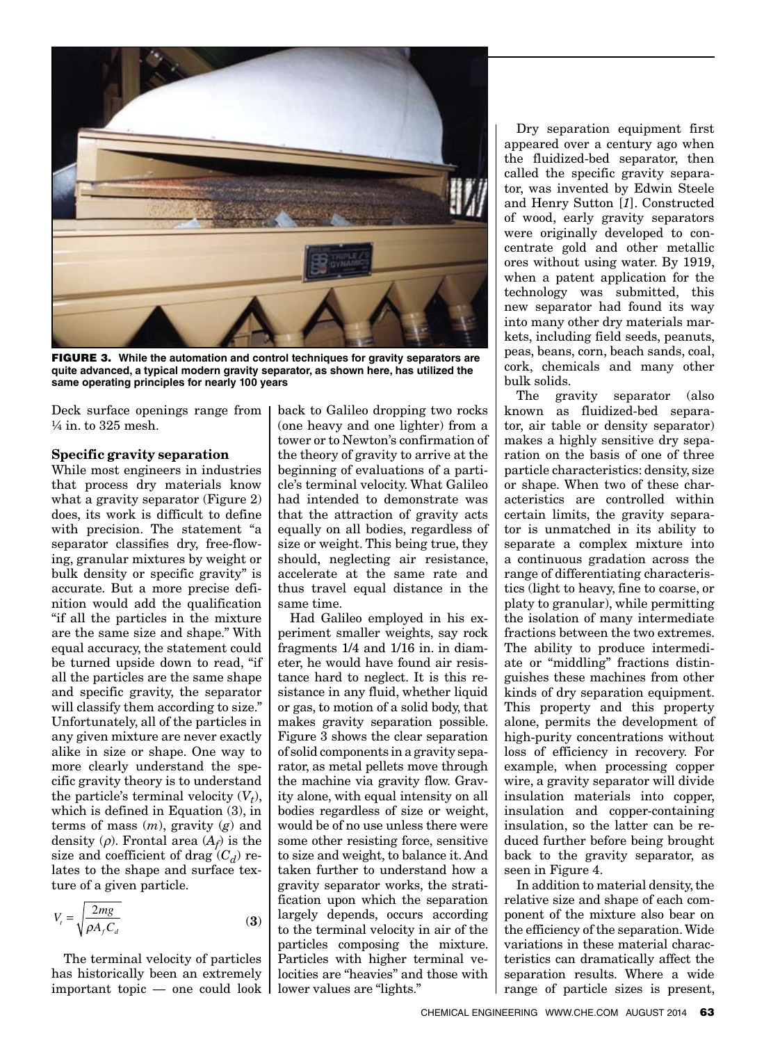

FIGURE 3. **While the automation and control techniques for gravity separators are quite advanced, a typical modern gravity separator, as shown here, has utilized the same operating principles for nearly 100 years**

Deck surface openings range from ¼ in. to 325 mesh.

#### Specific gravity separation

While most engineers in industries that process dry materials know what a gravity separator (Figure 2) does, its work is difficult to define with precision. The statement "a separator classifies dry, free-flowing, granular mixtures by weight or bulk density or specific gravity" is accurate. But a more precise definition would add the qualification "if all the particles in the mixture are the same size and shape." With equal accuracy, the statement could be turned upside down to read, "if all the particles are the same shape and specific gravity, the separator will classify them according to size." Unfortunately, all of the particles in any given mixture are never exactly alike in size or shape. One way to more clearly understand the specific gravity theory is to understand the particle's terminal velocity  $(V_t)$ , which is defined in Equation (3), in terms of mass (*m*), gravity (*g*) and density  $(\rho)$ . Frontal area  $(A_f)$  is the size and coefficient of drag  $(C_d)$  relates to the shape and surface texture of a given particle.

$$
V_{t} = \sqrt{\frac{2mg}{\rho A_{f} C_{d}}}
$$
 (3)

The terminal velocity of particles has historically been an extremely important topic — one could look

back to Galileo dropping two rocks (one heavy and one lighter) from a tower or to Newton's confirmation of the theory of gravity to arrive at the beginning of evaluations of a particle's terminal velocity. What Galileo had intended to demonstrate was that the attraction of gravity acts equally on all bodies, regardless of size or weight. This being true, they should, neglecting air resistance, accelerate at the same rate and thus travel equal distance in the same time.

Had Galileo employed in his experiment smaller weights, say rock fragments 1/4 and 1/16 in. in diameter, he would have found air resistance hard to neglect. It is this resistance in any fluid, whether liquid or gas, to motion of a solid body, that makes gravity separation possible. Figure 3 shows the clear separation of solid components in a gravity separator, as metal pellets move through the machine via gravity flow. Gravity alone, with equal intensity on all bodies regardless of size or weight, would be of no use unless there were some other resisting force, sensitive to size and weight, to balance it. And taken further to understand how a gravity separator works, the stratification upon which the separation largely depends, occurs according to the terminal velocity in air of the particles composing the mixture. Particles with higher terminal velocities are "heavies" and those with lower values are "lights."

Dry separation equipment first appeared over a century ago when the fluidized-bed separator, then called the specific gravity separator, was invented by Edwin Steele and Henry Sutton [*1*]. Constructed of wood, early gravity separators were originally developed to concentrate gold and other metallic ores without using water. By 1919, when a patent application for the technology was submitted, this new separator had found its way into many other dry materials markets, including field seeds, peanuts, peas, beans, corn, beach sands, coal, cork, chemicals and many other bulk solids.

The gravity separator (also known as fluidized-bed separator, air table or density separator) makes a highly sensitive dry separation on the basis of one of three particle characteristics: density, size or shape. When two of these characteristics are controlled within certain limits, the gravity separator is unmatched in its ability to separate a complex mixture into a continuous gradation across the range of differentiating characteristics (light to heavy, fine to coarse, or platy to granular), while permitting the isolation of many intermediate fractions between the two extremes. The ability to produce intermediate or "middling" fractions distinguishes these machines from other kinds of dry separation equipment. This property and this property alone, permits the development of high-purity concentrations without loss of efficiency in recovery. For example, when processing copper wire, a gravity separator will divide insulation materials into copper, insulation and copper-containing insulation, so the latter can be reduced further before being brought back to the gravity separator, as seen in Figure 4.

In addition to material density, the relative size and shape of each component of the mixture also bear on the efficiency of the separation. Wide variations in these material characteristics can dramatically affect the separation results. Where a wide range of particle sizes is present,